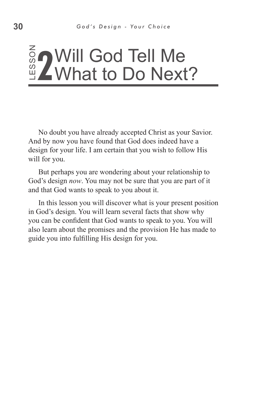### ss o **2** Will God Tell Me<br><u>2</u> What to Do Next What to Do Next?

No doubt you have already accepted Christ as your Savior. And by now you have found that God does indeed have a design for your life. I am certain that you wish to follow His will for you.

But perhaps you are wondering about your relationship to God's design *now*. You may not be sure that you are part of it and that God wants to speak to you about it.

In this lesson you will discover what is your present position in God's design. You will learn several facts that show why you can be confident that God wants to speak to you. You will also learn about the promises and the provision He has made to No doubt you have already accepted Ch<br>And by now you have found that God does<br>design for your life. I am certain that you w<br>will for you.<br>But perhaps you are wondering about you.<br>God's design *now*. You may not be sure tha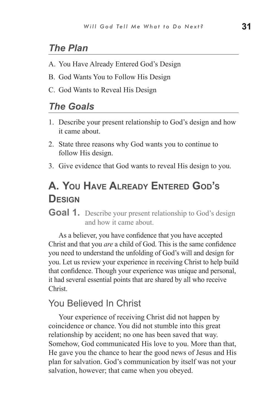# *The Plan*

- A. You Have Already Entered God's Design
- B. God Wants You to Follow His Design
- C. God Wants to Reveal His Design

#### *The Goals*

- 1. Describe your present relationship to God's design and how it came about.
- 2. State three reasons why God wants you to continue to follow His design.
- 3. Give evidence that God wants to reveal His design to you.

# **A. You Have Already Entered God's Design**

**Goal 1.** Describe your present relationship to God's design and how it came about.

As a believer, you have confidence that you have accepted Christ and that you *are* a child of God. This is the same confidence you need to understand the unfolding of God's will and design for you. Let us review your experience in receiving Christ to help build that confidence. Though your experience was unique and personal, it had several essential points that are shared by all who receive Christ.

#### You Believed In Christ

Your experience of receiving Christ did not happen by coincidence or chance. You did not stumble into this great relationship by accident; no one has been saved that way. Somehow, God communicated His love to you. More than that, He gave you the chance to hear the good news of Jesus and His plan for salvation. God's communication by itself was not your salvation, however; that came when you obeyed.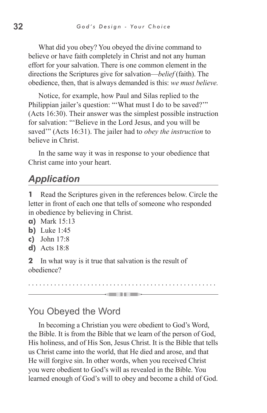What did you obey? You obeyed the divine command to believe or have faith completely in Christ and not any human effort for your salvation. There is one common element in the directions the Scriptures give for salvation—*belief* (faith). The obedience, then, that is always demanded is this: *we must believe.*

Notice, for example, how Paul and Silas replied to the Philippian jailer's question: "'What must I do to be saved?'" (Acts 16:30). Their answer was the simplest possible instruction for salvation: "'Believe in the Lord Jesus, and you will be saved'" (Acts 16:31). The jailer had to *obey the instruction* to believe in Christ.

In the same way it was in response to your obedience that Christ came into your heart.

### *Application*

**1** Read the Scriptures given in the references below. Circle the letter in front of each one that tells of someone who responded in obedience by believing in Christ.

- **a)** Mark 15:13
- **b)** Luke 1:45
- **c)** John 17:8
- **d)** Acts 18:8

**2** In what way is it true that salvation is the result of obedience?

 $\rightarrow$  and the set  $\rightarrow$ 

#### You Obeyed the Word

In becoming a Christian you were obedient to God's Word, the Bible. It is from the Bible that we learn of the person of God, His holiness, and of His Son, Jesus Christ. It is the Bible that tells us Christ came into the world, that He died and arose, and that He will forgive sin. In other words, when you received Christ you were obedient to God's will as revealed in the Bible. You learned enough of God's will to obey and become a child of God.

. . . . . . . . . . . . . . . . . . . . . . . . . . . . . . . . . . . . . . . . . . . . . . . . . . .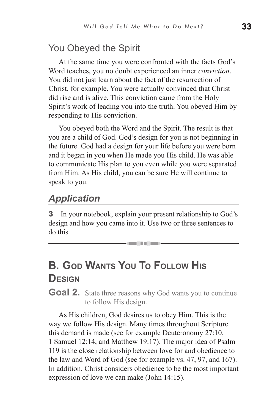# You Obeyed the Spirit

At the same time you were confronted with the facts God's Word teaches, you no doubt experienced an inner *conviction*. You did not just learn about the fact of the resurrection of Christ, for example. You were actually convinced that Christ did rise and is alive. This conviction came from the Holy Spirit's work of leading you into the truth. You obeyed Him by responding to His conviction.

You obeyed both the Word and the Spirit. The result is that you are a child of God. God's design for you is not beginning in the future. God had a design for your life before you were born and it began in you when He made you His child. He was able to communicate His plan to you even while you were separated from Him. As His child, you can be sure He will continue to speak to you.

### *Application*

**3** In your notebook, explain your present relationship to God's design and how you came into it. Use two or three sentences to do this.

= III =

# **B. God Wants You To Follow His Design**

**Goal 2.** State three reasons why God wants you to continue to follow His design.

As His children, God desires us to obey Him. This is the way we follow His design. Many times throughout Scripture this demand is made (see for example Deuteronomy 27:10, 1 Samuel 12:14, and Matthew 19:17). The major idea of Psalm 119 is the close relationship between love for and obedience to the law and Word of God (see for example vs. 47, 97, and 167). In addition, Christ considers obedience to be the most important expression of love we can make (John 14:15).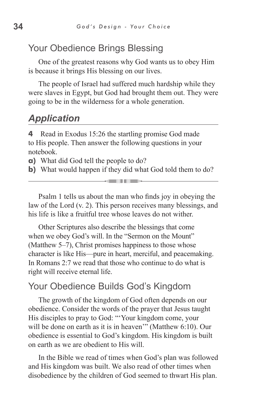#### Your Obedience Brings Blessing

One of the greatest reasons why God wants us to obey Him is because it brings His blessing on our lives.

The people of Israel had suffered much hardship while they were slaves in Egypt, but God had brought them out. They were going to be in the wilderness for a whole generation.

# *Application*

**4** Read in Exodus 15:26 the startling promise God made to His people. Then answer the following questions in your notebook.

**a)** What did God tell the people to do?

**b)** What would happen if they did what God told them to do? <u>e in die</u>

Psalm 1 tells us about the man who finds joy in obeying the law of the Lord (v. 2). This person receives many blessings, and his life is like a fruitful tree whose leaves do not wither.

Other Scriptures also describe the blessings that come when we obey God's will. In the "Sermon on the Mount" (Matthew 5–7), Christ promises happiness to those whose character is like His—pure in heart, merciful, and peacemaking. In Romans 2:7 we read that those who continue to do what is right will receive eternal life.

#### Your Obedience Builds God's Kingdom

The growth of the kingdom of God often depends on our obedience. Consider the words of the prayer that Jesus taught His disciples to pray to God: "'Your kingdom come, your will be done on earth as it is in heaven" (Matthew 6:10). Our obedience is essential to God's kingdom. His kingdom is built on earth as we are obedient to His will.

In the Bible we read of times when God's plan was followed and His kingdom was built. We also read of other times when disobedience by the children of God seemed to thwart His plan.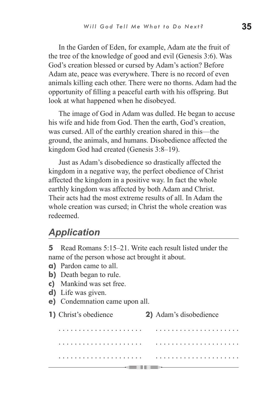In the Garden of Eden, for example, Adam ate the fruit of the tree of the knowledge of good and evil (Genesis 3:6). Was God's creation blessed or cursed by Adam's action? Before Adam ate, peace was everywhere. There is no record of even animals killing each other. There were no thorns. Adam had the opportunity of filling a peaceful earth with his offspring. But look at what happened when he disobeyed.

The image of God in Adam was dulled. He began to accuse his wife and hide from God. Then the earth, God's creation, was cursed. All of the earthly creation shared in this—the ground, the animals, and humans. Disobedience affected the kingdom God had created (Genesis 3:8–19).

Just as Adam's disobedience so drastically affected the kingdom in a negative way, the perfect obedience of Christ affected the kingdom in a positive way. In fact the whole earthly kingdom was affected by both Adam and Christ. Their acts had the most extreme results of all. In Adam the whole creation was cursed; in Christ the whole creation was redeemed.

### *Application*

**5** Read Romans 5:15–21. Write each result listed under the name of the person whose act brought it about.

- **a)** Pardon came to all.
- **b)** Death began to rule.
- **c)** Mankind was set free.
- **d)** Life was given.
- **e)** Condemnation came upon all.
- **1)** Christ's obedience **2)** Adam's disobedience

. . . . . . . . . . . . . . . . . . . . . . . . . . . . . . . . . . . . . . . . . . . . . . . . . . . . . . . . . . . . . . . . . . . . . . . . . . . . . . . . . . . . . . . . . . . . . . . . . . . . . . . . . . . . . . . . . . . . . . . . . . . . . .-amil III -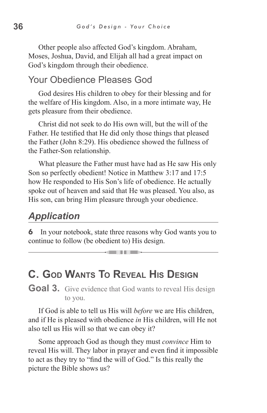Other people also affected God's kingdom. Abraham, Moses, Joshua, David, and Elijah all had a great impact on God's kingdom through their obedience.

#### Your Obedience Pleases God

God desires His children to obey for their blessing and for the welfare of His kingdom. Also, in a more intimate way, He gets pleasure from their obedience.

Christ did not seek to do His own will, but the will of the Father. He testified that He did only those things that pleased the Father (John 8:29). His obedience showed the fullness of the Father-Son relationship.

What pleasure the Father must have had as He saw His only Son so perfectly obedient! Notice in Matthew 3:17 and 17:5 how He responded to His Son's life of obedience. He actually spoke out of heaven and said that He was pleased. You also, as His son, can bring Him pleasure through your obedience.

# *Application*

**6** In your notebook, state three reasons why God wants you to continue to follow (be obedient to) His design.

<u>seinnigar </u>

# **C. God Wants To Reveal His Design**

**Goal 3.** Give evidence that God wants to reveal His design to you.

If God is able to tell us His will *before* we are His children, and if He is pleased with obedience *in* His children, will He not also tell us His will so that we can obey it?

Some approach God as though they must *convince* Him to reveal His will. They labor in prayer and even find it impossible to act as they try to "find the will of God." Is this really the picture the Bible shows us?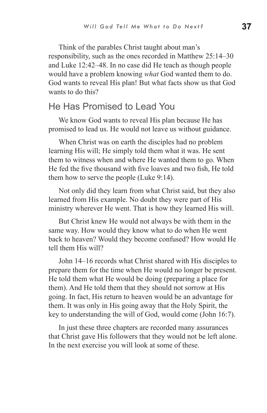Think of the parables Christ taught about man's responsibility, such as the ones recorded in Matthew 25:14–30 and Luke 12:42–48. In no case did He teach as though people would have a problem knowing *what* God wanted them to do. God wants to reveal His plan! But what facts show us that God wants to do this?

### He Has Promised to Lead You

We know God wants to reveal His plan because He has promised to lead us. He would not leave us without guidance.

When Christ was on earth the disciples had no problem learning His will; He simply told them what it was. He sent them to witness when and where He wanted them to go. When He fed the five thousand with five loaves and two fish, He told them how to serve the people (Luke 9:14).

Not only did they learn from what Christ said, but they also learned from His example. No doubt they were part of His ministry wherever He went. That is how they learned His will.

But Christ knew He would not always be with them in the same way. How would they know what to do when He went back to heaven? Would they become confused? How would He tell them His will?

John 14–16 records what Christ shared with His disciples to prepare them for the time when He would no longer be present. He told them what He would be doing (preparing a place for them). And He told them that they should not sorrow at His going. In fact, His return to heaven would be an advantage for them. It was only in His going away that the Holy Spirit, the key to understanding the will of God, would come (John 16:7).

In just these three chapters are recorded many assurances that Christ gave His followers that they would not be left alone. In the next exercise you will look at some of these.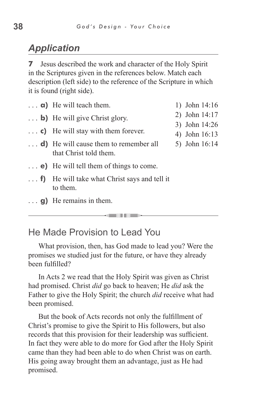# *Application*

**7** Jesus described the work and character of the Holy Spirit in the Scriptures given in the references below. Match each description (left side) to the reference of the Scripture in which it is found (right side).

| $\ldots$ <b>a</b> ) He will teach them.                                  | 1) John 14:16                  |
|--------------------------------------------------------------------------|--------------------------------|
| $\ldots$ b) He will give Christ glory.                                   | 2) John 14:17                  |
| $\ldots$ c) He will stay with them forever.                              | 3) John 14:26<br>4) John 16:13 |
| $\ldots$ d) He will cause them to remember all<br>that Christ told them. | 5) John 16:14                  |
| $\ldots$ e) He will tell them of things to come.                         |                                |
| $\ldots$ f) He will take what Christ says and tell it<br>to them.        |                                |
| $\ldots$ g) He remains in them.                                          |                                |
|                                                                          |                                |

### He Made Provision to Lead You

What provision, then, has God made to lead you? Were the promises we studied just for the future, or have they already been fulfilled?

In Acts 2 we read that the Holy Spirit was given as Christ had promised. Christ *did* go back to heaven; He *did* ask the Father to give the Holy Spirit; the church *did* receive what had been promised.

But the book of Acts records not only the fulfillment of Christ's promise to give the Spirit to His followers, but also records that this provision for their leadership was sufficient. In fact they were able to do more for God after the Holy Spirit came than they had been able to do when Christ was on earth. His going away brought them an advantage, just as He had promised.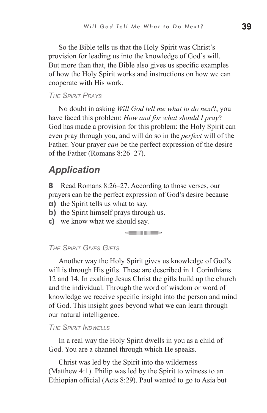So the Bible tells us that the Holy Spirit was Christ's provision for leading us into the knowledge of God's will. But more than that, the Bible also gives us specific examples of how the Holy Spirit works and instructions on how we can cooperate with His work.

#### *The Spirit Prays*

No doubt in asking *Will God tell me what to do next*?, you have faced this problem: *How and for what should I pray*? God has made a provision for this problem: the Holy Spirit can even pray through you, and will do so in the *perfect* will of the Father. Your prayer *can* be the perfect expression of the desire of the Father (Romans 8:26–27).

#### *Application*

**8** Read Romans 8:26–27. According to those verses, our prayers can be the perfect expression of God's desire because

- **a)** the Spirit tells us what to say.
- **b**) the Spirit himself prays through us.
- **c)** we know what we should say.

#### *The Spirit Gives Gifts*

Another way the Holy Spirit gives us knowledge of God's will is through His gifts. These are described in 1 Corinthians 12 and 14. In exalting Jesus Christ the gifts build up the church and the individual. Through the word of wisdom or word of knowledge we receive specific insight into the person and mind of God. This insight goes beyond what we can learn through our natural intelligence.

#### *The Spirit Indwells*

In a real way the Holy Spirit dwells in you as a child of God. You are a channel through which He speaks.

Christ was led by the Spirit into the wilderness (Matthew 4:1). Philip was led by the Spirit to witness to an Ethiopian official (Acts 8:29). Paul wanted to go to Asia but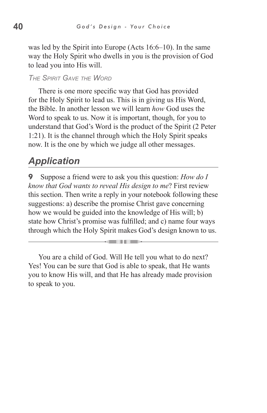was led by the Spirit into Europe (Acts 16:6–10). In the same way the Holy Spirit who dwells in you is the provision of God to lead you into His will.

#### *The Spirit Gave the Word*

There is one more specific way that God has provided for the Holy Spirit to lead us. This is in giving us His Word, the Bible. In another lesson we will learn *how* God uses the Word to speak to us. Now it is important, though, for you to understand that God's Word is the product of the Spirit (2 Peter 1:21). It is the channel through which the Holy Spirit speaks now. It is the one by which we judge all other messages.

### *Application*

**9** Suppose a friend were to ask you this question: *How do I know that God wants to reveal His design to me*? First review this section. Then write a reply in your notebook following these suggestions: a) describe the promise Christ gave concerning how we would be guided into the knowledge of His will; b) state how Christ's promise was fulfilled; and c) name four ways through which the Holy Spirit makes God's design known to us.

<u>e Tribut</u>

You are a child of God. Will He tell you what to do next? Yes! You can be sure that God is able to speak, that He wants you to know His will, and that He has already made provision to speak to you.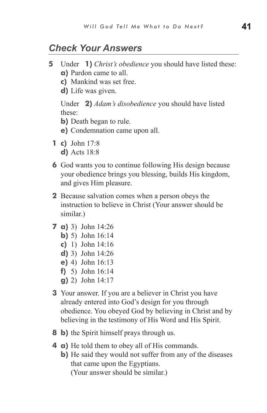#### *Check Your Answers*

- **5** Under **1)** *Christ's obedience* you should have listed these:
	- **a)** Pardon came to all.
	- **c)** Mankind was set free.
	- **d)** Life was given.

Under **2)** *Adam's disobedience* you should have listed these:

- **b)** Death began to rule.
- **e)** Condemnation came upon all.
- **1 c)** John 17:8 **d)** Acts 18:8
- **6** God wants you to continue following His design because your obedience brings you blessing, builds His kingdom, and gives Him pleasure.
- **2** Because salvation comes when a person obeys the instruction to believe in Christ (Your answer should be similar.)
- **7 a)** 3) John 14:26
	- **b)** 5) John 16:14
	- **c)** 1) John 14:16
	- **d)** 3) John 14:26
	- **e)** 4) John 16:13
	- **f)** 5) John 16:14
	- **g)** 2) John 14:17
- **3** Your answer. If you are a believer in Christ you have already entered into God's design for you through obedience. You obeyed God by believing in Christ and by believing in the testimony of His Word and His Spirit.
- **8 b)** the Spirit himself prays through us.
- **4 a)** He told them to obey all of His commands.
	- **b)** He said they would not suffer from any of the diseases that came upon the Egyptians. (Your answer should be similar.)